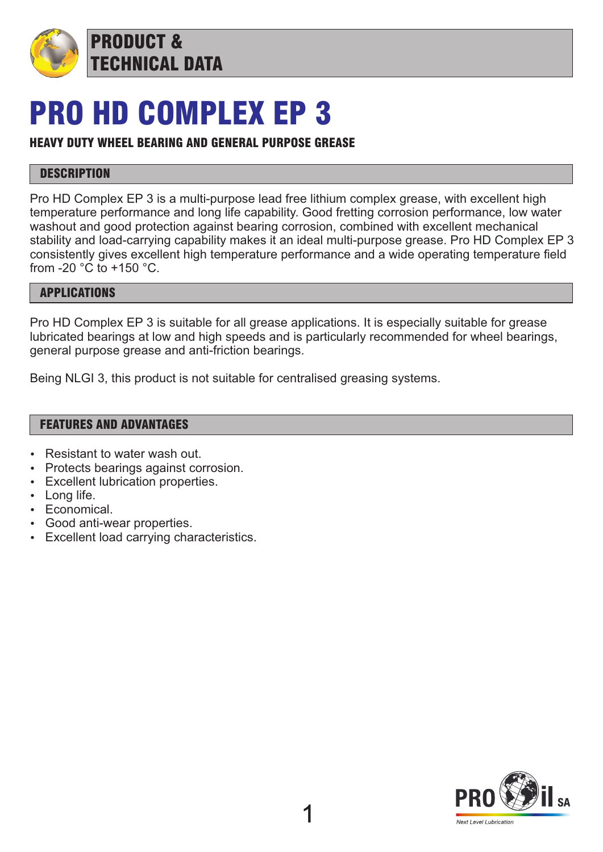

PRODUCT & TECHNICAL DATA

# PRO HD COMPLEX EP 3

### HEAVY DUTY WHEEL BEARING AND GENERAL PURPOSE GREASE

### **DESCRIPTION**

Pro HD Complex EP 3 is a multi-purpose lead free lithium complex grease, with excellent high temperature performance and long life capability. Good fretting corrosion performance, low water washout and good protection against bearing corrosion, combined with excellent mechanical stability and load-carrying capability makes it an ideal multi-purpose grease. Pro HD Complex EP 3 consistently gives excellent high temperature performance and a wide operating temperature field from -20 °C to +150 °C.

### APPLICATIONS

Pro HD Complex EP 3 is suitable for all grease applications. It is especially suitable for grease lubricated bearings at low and high speeds and is particularly recommended for wheel bearings, general purpose grease and anti-friction bearings.

Being NLGI 3, this product is not suitable for centralised greasing systems.

### FEATURES AND ADVANTAGES

- Resistant to water wash out.
- Protects bearings against corrosion.
- Excellent lubrication properties.
- $\cdot$  Long life.
- $\cdot$  Economical.
- Good anti-wear properties.
- Excellent load carrying characteristics.